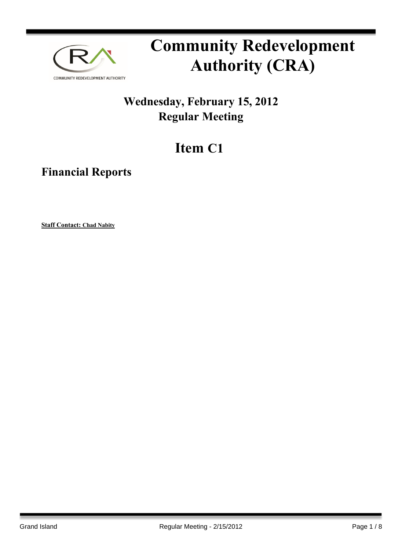

# **Community Redevelopment Authority (CRA)**

### **Wednesday, February 15, 2012 Regular Meeting**

## **Item C1**

**Financial Reports**

**Staff Contact: Chad Nabity**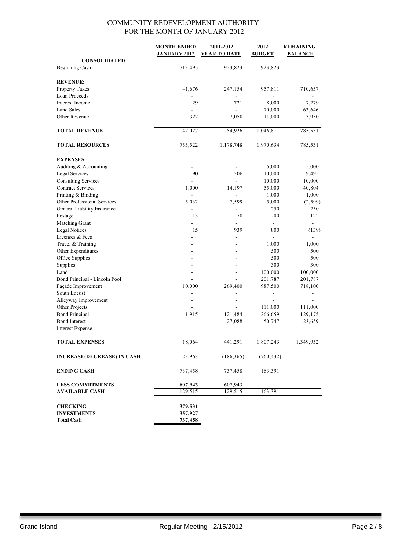|                                   | <b>MONTH ENDED</b>  | 2011-2012                | 2012                     | <b>REMAINING</b>         |
|-----------------------------------|---------------------|--------------------------|--------------------------|--------------------------|
|                                   | <b>JANUARY 2012</b> | <b>YEAR TO DATE</b>      | <b>BUDGET</b>            | <b>BALANCE</b>           |
| <b>CONSOLIDATED</b>               |                     |                          |                          |                          |
| Beginning Cash                    | 713,495             | 923,823                  | 923,823                  |                          |
|                                   |                     |                          |                          |                          |
| <b>REVENUE:</b>                   |                     |                          |                          |                          |
| Property Taxes                    | 41,676              | 247,154                  | 957,811                  | 710,657                  |
| Loan Proceeds                     |                     |                          |                          |                          |
| Interest Income                   | 29                  | 721                      | 8,000                    | 7,279                    |
| <b>Land Sales</b>                 | ÷                   | $\overline{a}$           | 70,000                   | 63,646                   |
| Other Revenue                     | 322                 | 7,050                    | 11,000                   | 3,950                    |
| <b>TOTAL REVENUE</b>              | 42,027              | 254,926                  | 1,046,811                | 785,531                  |
|                                   |                     |                          |                          |                          |
| <b>TOTAL RESOURCES</b>            | 755,522             | 1,178,748                | 1,970,634                | 785,531                  |
| <b>EXPENSES</b>                   |                     |                          |                          |                          |
| Auditing & Accounting             | ä,                  |                          | 5,000                    | 5,000                    |
| <b>Legal Services</b>             | 90                  | 506                      | 10,000                   | 9,495                    |
| <b>Consulting Services</b>        |                     | $\blacksquare$           | 10,000                   | 10,000                   |
| <b>Contract Services</b>          | 1,000               | 14,197                   | 55,000                   | 40,804                   |
| Printing & Binding                |                     | $\overline{a}$           | 1,000                    | 1,000                    |
| Other Professional Services       | 5,032               | 7,599                    | 5,000                    | (2, 599)                 |
| General Liability Insurance       |                     | ä,                       | 250                      | 250                      |
| Postage                           | 13                  | 78                       | 200                      | 122                      |
| Matching Grant                    |                     |                          | $\overline{\phantom{a}}$ |                          |
| <b>Legal Notices</b>              | 15                  | 939                      | 800                      | (139)                    |
| Licenses & Fees                   |                     |                          |                          |                          |
| Travel & Training                 |                     |                          | 1,000                    | 1,000                    |
| Other Expenditures                |                     |                          | 500                      | 500                      |
| Office Supplies                   |                     |                          | 500                      | 500                      |
| Supplies                          |                     | $\overline{a}$           | 300                      | 300                      |
| Land                              | ÷.                  | $\overline{a}$           | 100,000                  | 100,000                  |
| Bond Principal - Lincoln Pool     |                     | ÷.                       | 201,787                  | 201,787                  |
| Façade Improvement                | 10,000              | 269,400                  | 987,500                  | 718,100                  |
| South Locust                      |                     |                          | $\blacksquare$           | $\overline{\phantom{a}}$ |
| Alleyway Improvement              | ÷                   | $\overline{\phantom{a}}$ |                          |                          |
| Other Projects                    |                     |                          | 111,000                  | 111,000                  |
| <b>Bond Principal</b>             | 1,915               | 121,484                  | 266,659                  | 129,175                  |
| <b>Bond Interest</b>              |                     | 27,088                   | 50,747                   | 23,659                   |
| <b>Interest Expense</b>           |                     | $\overline{\phantom{0}}$ | $\frac{1}{2}$            |                          |
| <b>TOTAL EXPENSES</b>             | 18,064              | 441,291                  | 1,807,243                | 1,349,952                |
|                                   |                     |                          |                          |                          |
| <b>INCREASE(DECREASE) IN CASH</b> | 23,963              | (186, 365)               | (760, 432)               |                          |
| <b>ENDING CASH</b>                | 737,458             | 737,458                  | 163,391                  |                          |
| <b>LESS COMMITMENTS</b>           | 607,943             | 607,943                  |                          |                          |
| <b>AVAILABLE CASH</b>             | 129,515             | 129,515                  | 163,391                  |                          |
|                                   |                     |                          |                          |                          |
| <b>CHECKING</b>                   | 379,531             |                          |                          |                          |
| <b>INVESTMENTS</b>                | 357,927             |                          |                          |                          |
| <b>Total Cash</b>                 | 737,458             |                          |                          |                          |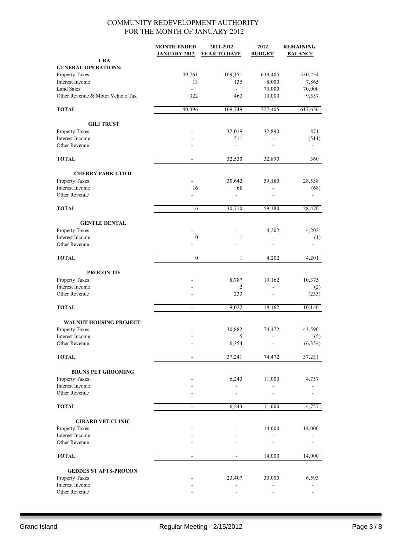|                                   | <b>MONTH ENDED</b><br><b>JANUARY 2012</b> | 2011-2012<br><b>YEAR TO DATE</b> | 2012<br><b>BUDGET</b>    | <b>REMAINING</b><br><b>BALANCE</b> |
|-----------------------------------|-------------------------------------------|----------------------------------|--------------------------|------------------------------------|
| <b>CRA</b>                        |                                           |                                  |                          |                                    |
| <b>GENERAL OPERATIONS:</b>        |                                           |                                  |                          |                                    |
| Property Taxes                    | 39,761                                    | 109,151                          | 639,405                  | 530,254                            |
| <b>Interest Income</b>            | 13                                        | 135                              | 8,000                    | 7,865                              |
| <b>Land Sales</b>                 | $\mathbf{r}$                              | $\mathbf{r}$                     | 70,000                   | 70,000                             |
| Other Revenue & Motor Vehicle Tax | 322                                       | 463                              | 10,000                   | 9,537                              |
| <b>TOTAL</b>                      | 40,096                                    | 109,749                          | 727,405                  | 617,656                            |
| <b>GILI TRUST</b>                 |                                           |                                  |                          |                                    |
| Property Taxes                    |                                           | 32,019                           | 32,890                   | 871                                |
| Interest Income                   |                                           | 511                              |                          | (511)                              |
| Other Revenue                     |                                           | $\overline{a}$                   | $\overline{a}$           |                                    |
| <b>TOTAL</b>                      | $\blacksquare$                            | 32,530                           | 32,890                   | 360                                |
| <b>CHERRY PARK LTD II</b>         |                                           |                                  |                          |                                    |
| Property Taxes                    | ÷.                                        | 30,642                           | 59,180                   | 28,538                             |
| Interest Income                   | 16                                        | 68                               | $\overline{\phantom{0}}$ | (68)                               |
| Other Revenue                     | L,                                        | $\overline{a}$                   |                          |                                    |
| <b>TOTAL</b>                      | 16                                        | 30,710                           | 59,180                   | 28,470                             |
| <b>GENTLE DENTAL</b>              |                                           |                                  |                          |                                    |
| Property Taxes                    |                                           |                                  | 4,202                    | 4,202                              |
| Interest Income                   | $\boldsymbol{0}$                          | $\mathbf{1}$                     | ٠                        | (1)                                |
| Other Revenue                     |                                           |                                  |                          |                                    |
| <b>TOTAL</b>                      | $\boldsymbol{0}$                          | 1                                | 4,202                    | 4,201                              |
| <b>PROCON TIF</b>                 |                                           |                                  |                          |                                    |
| Property Taxes                    |                                           | 8,787                            | 19,162                   | 10,375                             |
| Interest Income                   |                                           | 2                                | $\overline{\phantom{a}}$ | (2)                                |
| Other Revenue                     |                                           | 233                              |                          | (233)                              |
| <b>TOTAL</b>                      | $\overline{\phantom{a}}$                  | 9,022                            | 19,162                   | 10,140                             |
| <b>WALNUT HOUSING PROJECT</b>     |                                           |                                  |                          |                                    |
| Property Taxes                    |                                           | 30,882                           | 74,472                   | 43,590                             |
| Interest Income                   |                                           | 5                                | $\overline{\phantom{0}}$ | (5)                                |
| Other Revenue                     |                                           | 6,354                            |                          | (6, 354)                           |
| <b>TOTAL</b>                      | $\blacksquare$                            | 37,241                           | 74,472                   | 37,231                             |
| <b>BRUNS PET GROOMING</b>         |                                           |                                  |                          |                                    |
| Property Taxes                    |                                           | 6,243                            | 11,000                   | 4,757                              |
| Interest Income                   |                                           |                                  |                          |                                    |
| Other Revenue                     |                                           |                                  |                          |                                    |
| <b>TOTAL</b>                      | $\blacksquare$                            | 6,243                            | 11,000                   | 4,757                              |
| <b>GIRARD VET CLINIC</b>          |                                           |                                  |                          |                                    |
| Property Taxes                    |                                           |                                  | 14,000                   | 14,000                             |
| Interest Income                   |                                           |                                  |                          |                                    |
| Other Revenue                     |                                           |                                  |                          |                                    |
| <b>TOTAL</b>                      | $\overline{\phantom{a}}$                  | $\overline{\phantom{a}}$         | 14,000                   | 14,000                             |
| <b>GEDDES ST APTS-PROCON</b>      |                                           |                                  |                          |                                    |
| Property Taxes                    |                                           | 23,407                           | 30,000                   | 6,593                              |
| Interest Income                   |                                           |                                  |                          |                                    |
| Other Revenue                     |                                           |                                  |                          |                                    |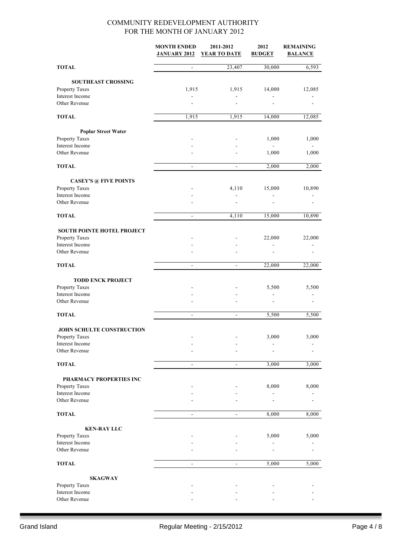|                                      | <b>MONTH ENDED</b><br><b>JANUARY 2012</b> | 2011-2012<br>YEAR TO DATE | 2012<br><b>BUDGET</b> | <b>REMAINING</b><br><b>BALANCE</b> |
|--------------------------------------|-------------------------------------------|---------------------------|-----------------------|------------------------------------|
| <b>TOTAL</b>                         | $\overline{\phantom{m}}$                  | 23,407                    | 30,000                | 6,593                              |
| <b>SOUTHEAST CROSSING</b>            |                                           |                           |                       |                                    |
| Property Taxes                       | 1,915                                     | 1,915                     | 14,000                | 12,085                             |
| Interest Income                      |                                           |                           |                       |                                    |
| Other Revenue                        |                                           |                           |                       |                                    |
| <b>TOTAL</b>                         | 1,915                                     | 1,915                     | 14,000                | 12,085                             |
| <b>Poplar Street Water</b>           |                                           |                           |                       |                                    |
| Property Taxes                       |                                           |                           | 1,000                 | 1,000                              |
| Interest Income                      |                                           |                           |                       |                                    |
| Other Revenue                        |                                           |                           | 1,000                 | 1,000                              |
| <b>TOTAL</b>                         | $\overline{\phantom{a}}$                  | $\overline{\phantom{a}}$  | 2,000                 | 2,000                              |
| <b>CASEY'S @ FIVE POINTS</b>         |                                           |                           |                       |                                    |
| Property Taxes                       |                                           | 4,110                     | 15,000                | 10,890                             |
| Interest Income<br>Other Revenue     |                                           | $\blacksquare$            |                       |                                    |
| <b>TOTAL</b>                         | $\blacksquare$                            | 4,110                     | 15,000                | 10,890                             |
| <b>SOUTH POINTE HOTEL PROJECT</b>    |                                           |                           |                       |                                    |
| Property Taxes                       |                                           |                           | 22,000                | 22,000                             |
| Interest Income                      |                                           |                           | ٠                     |                                    |
| Other Revenue                        |                                           |                           |                       |                                    |
| <b>TOTAL</b>                         | $\blacksquare$                            | $\Box$                    | 22,000                | 22,000                             |
| <b>TODD ENCK PROJECT</b>             |                                           |                           |                       |                                    |
| Property Taxes                       |                                           |                           | 5,500                 | 5,500                              |
| Interest Income<br>Other Revenue     |                                           |                           |                       |                                    |
| <b>TOTAL</b>                         | $\blacksquare$                            | $\overline{\phantom{a}}$  | 5,500                 | 5,500                              |
|                                      |                                           |                           |                       |                                    |
| <b>JOHN SCHULTE CONSTRUCTION</b>     |                                           |                           |                       |                                    |
| <b>Property Taxes</b>                |                                           |                           | 3,000                 | 3,000                              |
| Interest Income                      |                                           |                           |                       |                                    |
| Other Revenue                        |                                           |                           |                       |                                    |
| <b>TOTAL</b>                         | $\blacksquare$                            | $\blacksquare$            | 3,000                 | 3,000                              |
| PHARMACY PROPERTIES INC              |                                           |                           |                       |                                    |
| Property Taxes                       |                                           |                           | 8,000                 | 8,000                              |
| Interest Income<br>Other Revenue     |                                           |                           |                       |                                    |
| <b>TOTAL</b>                         |                                           |                           | 8,000                 | 8,000                              |
|                                      |                                           |                           |                       |                                    |
| <b>KEN-RAY LLC</b><br>Property Taxes |                                           |                           | 5,000                 | 5,000                              |
| Interest Income                      |                                           |                           |                       |                                    |
| Other Revenue                        |                                           |                           |                       |                                    |
| <b>TOTAL</b>                         | $\blacksquare$                            | $\blacksquare$            | 5,000                 | 5,000                              |
| <b>SKAGWAY</b>                       |                                           |                           |                       |                                    |
| Property Taxes                       |                                           |                           |                       |                                    |
| Interest Income                      |                                           |                           |                       |                                    |
| Other Revenue                        |                                           |                           |                       |                                    |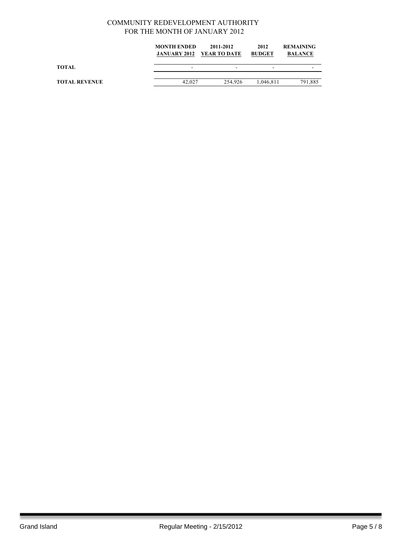|                      | <b>MONTH ENDED</b> | 2011-2012<br><b>JANUARY 2012 YEAR TO DATE</b> | 2012<br><b>BUDGET</b> | <b>REMAINING</b><br><b>BALANCE</b> |
|----------------------|--------------------|-----------------------------------------------|-----------------------|------------------------------------|
| TOTAL                |                    | $\overline{\phantom{a}}$                      | -                     |                                    |
| <b>TOTAL REVENUE</b> | 42,027             | 254.926                                       | 1.046.811             | 791,885                            |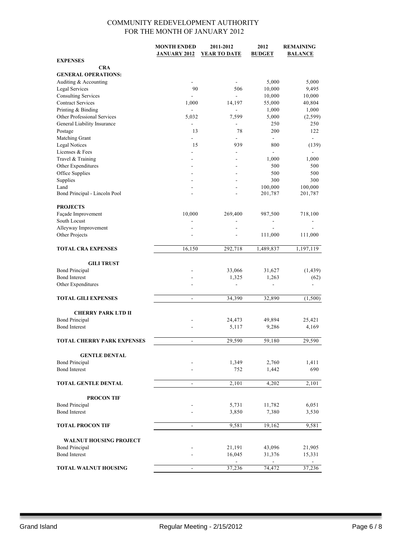|                                      | <b>MONTH ENDED</b>       | 2011-2012                | 2012           | <b>REMAINING</b>         |
|--------------------------------------|--------------------------|--------------------------|----------------|--------------------------|
|                                      | <b>JANUARY 2012</b>      | <b>YEAR TO DATE</b>      | <b>BUDGET</b>  | <b>BALANCE</b>           |
| <b>EXPENSES</b>                      |                          |                          |                |                          |
| <b>CRA</b>                           |                          |                          |                |                          |
| <b>GENERAL OPERATIONS:</b>           |                          |                          |                |                          |
| Auditing & Accounting                | $\overline{\phantom{a}}$ |                          | 5,000          | 5,000                    |
| <b>Legal Services</b>                | 90                       | 506                      | 10,000         | 9,495                    |
| <b>Consulting Services</b>           | $\overline{a}$           | $\overline{a}$           | 10,000         | 10,000                   |
| <b>Contract Services</b>             | 1,000                    | 14,197                   | 55,000         | 40,804                   |
| Printing & Binding                   |                          | $\frac{1}{2}$            | 1,000          | 1,000                    |
| Other Professional Services          | 5,032                    | 7,599                    | 5,000          | (2, 599)                 |
| General Liability Insurance          |                          | ä,                       | 250            | 250                      |
| Postage                              | 13                       | 78                       | 200            | 122                      |
| Matching Grant                       |                          |                          | $\blacksquare$ | $\overline{\phantom{0}}$ |
| <b>Legal Notices</b>                 | 15                       | 939                      | 800            | (139)                    |
| Licenses & Fees                      |                          |                          |                |                          |
| Travel & Training                    |                          |                          | 1,000          | 1,000                    |
| Other Expenditures                   |                          |                          | 500            | 500                      |
| Office Supplies                      |                          |                          | 500            | 500                      |
| Supplies                             | ÷                        | $\overline{a}$           | 300            | 300                      |
| Land                                 |                          |                          | 100,000        | 100,000                  |
| Bond Principal - Lincoln Pool        |                          |                          | 201,787        | 201,787                  |
|                                      |                          |                          |                |                          |
| <b>PROJECTS</b>                      |                          |                          |                |                          |
| Façade Improvement                   | 10,000                   | 269,400                  | 987,500        | 718,100                  |
| South Locust<br>Alleyway Improvement |                          |                          |                |                          |
|                                      |                          |                          |                |                          |
| Other Projects                       |                          | ۰                        | 111,000        | 111,000                  |
| <b>TOTAL CRA EXPENSES</b>            | 16,150                   | 292,718                  | 1,489,837      | 1,197,119                |
|                                      |                          |                          |                |                          |
| <b>GILI TRUST</b>                    |                          |                          |                |                          |
| <b>Bond Principal</b>                |                          | 33,066                   | 31,627         | (1, 439)                 |
| <b>Bond Interest</b>                 |                          | 1,325                    | 1,263          | (62)                     |
| Other Expenditures                   |                          | $\overline{\phantom{0}}$ | $\blacksquare$ |                          |
|                                      |                          |                          |                |                          |
| <b>TOTAL GILI EXPENSES</b>           | $\blacksquare$           | 34,390                   | 32,890         | (1,500)                  |
|                                      |                          |                          |                |                          |
| <b>CHERRY PARK LTD II</b>            |                          |                          |                |                          |
| <b>Bond Principal</b>                |                          | 24,473                   | 49,894         | 25,421                   |
| <b>Bond Interest</b>                 |                          | 5,117                    | 9,286          | 4,169                    |
|                                      |                          |                          |                |                          |
| <b>TOTAL CHERRY PARK EXPENSES</b>    | ۰                        | 29,590                   | 59,180         | 29,590                   |
|                                      |                          |                          |                |                          |
| <b>GENTLE DENTAL</b>                 |                          |                          |                |                          |
| <b>Bond Principal</b>                |                          | 1,349                    | 2,760          | 1,411                    |
| <b>Bond Interest</b>                 |                          | 752                      | 1,442          | 690                      |
|                                      |                          |                          |                |                          |
| <b>TOTAL GENTLE DENTAL</b>           | ÷,                       | 2,101                    | 4,202          | 2,101                    |
|                                      |                          |                          |                |                          |
| <b>PROCON TIF</b>                    |                          |                          |                |                          |
| <b>Bond Principal</b>                |                          | 5,731                    | 11,782         | 6,051                    |
| <b>Bond Interest</b>                 |                          | 3,850                    | 7,380          | 3,530                    |
|                                      |                          |                          |                |                          |
| <b>TOTAL PROCON TIF</b>              |                          | 9,581                    | 19,162         | 9,581                    |
|                                      |                          |                          |                |                          |
| <b>WALNUT HOUSING PROJECT</b>        |                          |                          |                |                          |
| <b>Bond Principal</b>                |                          | 21,191                   | 43,096         | 21,905                   |
| <b>Bond Interest</b>                 |                          | 16,045                   | 31,376         | 15,331                   |
|                                      |                          |                          |                |                          |
| <b>TOTAL WALNUT HOUSING</b>          |                          | 37,236                   | 74,472         | 37,236                   |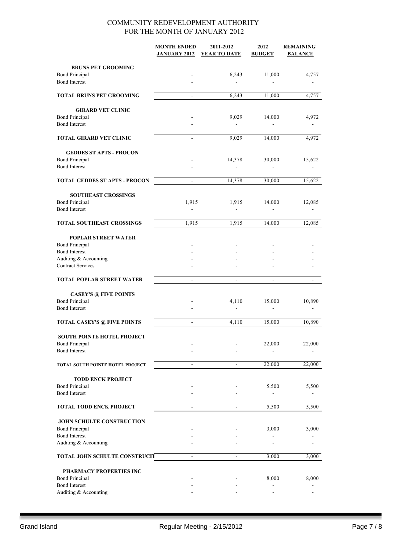|                                      | <b>MONTH ENDED</b>       | 2011-2012                    | 2012          | <b>REMAINING</b> |
|--------------------------------------|--------------------------|------------------------------|---------------|------------------|
|                                      | <b>JANUARY 2012</b>      | YEAR TO DATE                 | <b>BUDGET</b> | <b>BALANCE</b>   |
|                                      |                          |                              |               |                  |
| <b>BRUNS PET GROOMING</b>            |                          |                              |               |                  |
| <b>Bond Principal</b>                |                          | 6,243                        | 11,000        | 4,757            |
| <b>Bond Interest</b>                 |                          | $\blacksquare$               |               |                  |
|                                      |                          |                              |               |                  |
| <b>TOTAL BRUNS PET GROOMING</b>      | $\mathbf{r}$             | 6,243                        | 11,000        | 4,757            |
|                                      |                          |                              |               |                  |
| <b>GIRARD VET CLINIC</b>             |                          |                              |               |                  |
| <b>Bond Principal</b>                |                          | 9,029                        | 14,000        | 4,972            |
| <b>Bond Interest</b>                 |                          | $\overline{\phantom{a}}$     |               |                  |
| <b>TOTAL GIRARD VET CLINIC</b>       |                          | 9.029                        | 14,000        | 4,972            |
|                                      |                          |                              |               |                  |
| <b>GEDDES ST APTS - PROCON</b>       |                          |                              |               |                  |
| <b>Bond Principal</b>                |                          | 14,378                       | 30,000        | 15,622           |
| <b>Bond Interest</b>                 |                          |                              |               |                  |
| <b>TOTAL GEDDES ST APTS - PROCON</b> | ÷,                       | 14,378                       | 30,000        | 15,622           |
|                                      |                          |                              |               |                  |
| <b>SOUTHEAST CROSSINGS</b>           |                          |                              |               |                  |
| <b>Bond Principal</b>                | 1,915                    | 1,915                        | 14,000        | 12,085           |
| <b>Bond Interest</b>                 |                          | ÷                            |               |                  |
| <b>TOTAL SOUTHEAST CROSSINGS</b>     | 1,915                    | 1,915                        | 14,000        |                  |
|                                      |                          |                              |               | 12,085           |
| POPLAR STREET WATER                  |                          |                              |               |                  |
| <b>Bond Principal</b>                |                          |                              |               |                  |
| <b>Bond Interest</b>                 |                          |                              |               |                  |
| Auditing & Accounting                |                          |                              |               |                  |
| <b>Contract Services</b>             |                          |                              |               |                  |
|                                      |                          |                              |               |                  |
| <b>TOTAL POPLAR STREET WATER</b>     | $\overline{\phantom{a}}$ | $\qquad \qquad \blacksquare$ |               |                  |
|                                      |                          |                              |               |                  |
| <b>CASEY'S @ FIVE POINTS</b>         |                          |                              |               |                  |
| <b>Bond Principal</b>                |                          | 4,110                        | 15,000        | 10,890           |
| <b>Bond Interest</b>                 |                          | $\blacksquare$               |               |                  |
| <b>TOTAL CASEY'S @ FIVE POINTS</b>   | $\mathbf{r}$             | 4,110                        | 15,000        | 10,890           |
|                                      |                          |                              |               |                  |
| <b>SOUTH POINTE HOTEL PROJECT</b>    |                          |                              |               |                  |
| <b>Bond Principal</b>                |                          |                              | 22,000        | 22,000           |
| <b>Bond Interest</b>                 |                          |                              |               |                  |
|                                      |                          |                              |               |                  |
| TOTAL SOUTH POINTE HOTEL PROJECT     | $\blacksquare$           | $\blacksquare$               | 22,000        | 22,000           |
|                                      |                          |                              |               |                  |
| <b>TODD ENCK PROJECT</b>             |                          |                              |               |                  |
| <b>Bond Principal</b>                |                          |                              | 5,500         | 5,500            |
| <b>Bond Interest</b>                 |                          |                              |               |                  |
| <b>TOTAL TODD ENCK PROJECT</b>       | $\blacksquare$           | $\blacksquare$               | 5,500         | 5,500            |
|                                      |                          |                              |               |                  |
| <b>JOHN SCHULTE CONSTRUCTION</b>     |                          |                              |               |                  |
| <b>Bond Principal</b>                |                          |                              | 3,000         | 3,000            |
| <b>Bond Interest</b>                 |                          |                              |               |                  |
| Auditing & Accounting                |                          |                              |               |                  |
| TOTAL JOHN SCHULTE CONSTRUCIT        |                          |                              | 3,000         | 3,000            |
|                                      |                          |                              |               |                  |
| PHARMACY PROPERTIES INC              |                          |                              |               |                  |
| <b>Bond Principal</b>                |                          |                              | 8,000         | 8,000            |
| <b>Bond Interest</b>                 |                          |                              |               |                  |
| Auditing & Accounting                |                          |                              |               |                  |
|                                      |                          |                              |               |                  |